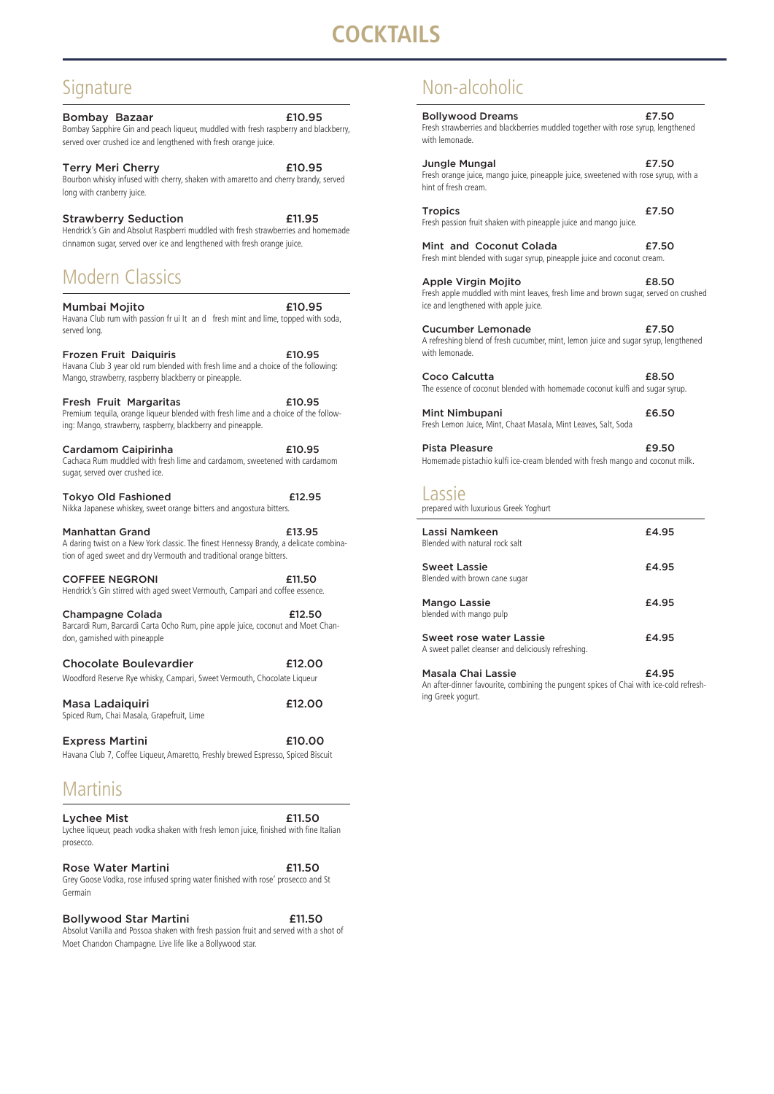# **OCKTAILS**

## Signature

Bombay Bazaar **E10.95** Bombay Sapphire Gin and peach liqueur, muddled with fresh raspberry and blackberry, served over crushed ice and lengthened with fresh orange juice.

Terry Meri Cherry **E10.95** Bourbon whisky infused with cherry, shaken with amaretto and cherry brandy, served long with cranberry juice.

Strawberry Seduction **E11.95** Hendrick's Gin and Absolut Raspberri muddled with fresh strawberries and homemade cinnamon sugar, served over ice and lengthened with fresh orange juice.

## Modern Classics

Mumbai Mojito £10.95 Havana Club rum with passion fr ui It an d fresh mint and lime, topped with soda, served long.

Tokyo Old Fashioned **E12.95** Nikka Japanese whiskey, sweet orange bitters and angostura bitters.

Manhattan Grand **E13.95** A daring twist on a New York classic. The finest Hennessy Brandy, a delicate combination of aged sweet and dry Vermouth and traditional orange bitters.

Frozen Fruit Daiquiris £10.95 Havana Club 3 year old rum blended with fresh lime and a choice of the following: Mango, strawberry, raspberry blackberry or pineapple.

COFFEE NEGRONI 611.50 Hendrick's Gin stirred with aged sweet Vermouth, Campari and coffee essence.

Champagne Colada **E12.50** Barcardi Rum, Barcardi Carta Ocho Rum, pine apple juice, coconut and Moet Chandon, garnished with pineapple

#### Chocolate Boulevardier **E12.00** Woodford Reserve Rye whisky, Campari, Sweet Vermouth, Chocolate Liqueur

Fresh Fruit Margaritas £10.95 Premium tequila, orange liqueur blended with fresh lime and a choice of the following: Mango, strawberry, raspberry, blackberry and pineapple.

Masa Ladaiquiri **E12.00** Spiced Rum, Chai Masala, Grapefruit, Lime

Lychee Mist **E11.50** Lychee liqueur, peach vodka shaken with fresh lemon juice, finished with fine Italian prosecco.

Cardamom Caipirinha £10.95 Cachaca Rum muddled with fresh lime and cardamom, sweetened with cardamom sugar, served over crushed ice.

Express Martini £10.00 Havana Club 7, Coffee Liqueur, Amaretto, Freshly brewed Espresso, Spiced Biscuit

Masala Chai Lassie **E4.95** An after-dinner favourite, combining the pungent spices of Chai with ice-cold refreshing Greek yogurt.

#### Rose Water Martini **E11.50**

## Martinis

Grey Goose Vodka, rose infused spring water finished with rose' prosecco and St Germain

#### Bollywood Star Martini **E11.50**

Absolut Vanilla and Possoa shaken with fresh passion fruit and served with a shot of

Moet Chandon Champagne. Live life like a Bollywood star.

## Non-alcoholic

| <b>Bollywood Dreams</b><br>Fresh strawberries and blackberries muddled together with rose syrup, lengthened<br>with lemonade.                             | £7.50 |
|-----------------------------------------------------------------------------------------------------------------------------------------------------------|-------|
| <b>Jungle Mungal</b><br>Fresh orange juice, mango juice, pineapple juice, sweetened with rose syrup, with a<br>hint of fresh cream.                       | £7.50 |
| <b>Tropics</b><br>Fresh passion fruit shaken with pineapple juice and mango juice.                                                                        | £7.50 |
| Mint and Coconut Colada<br>Fresh mint blended with sugar syrup, pineapple juice and coconut cream.                                                        | £7.50 |
| <b>Apple Virgin Mojito</b><br>Fresh apple muddled with mint leaves, fresh lime and brown sugar, served on crushed<br>ice and lengthened with apple juice. | £8.50 |
| <b>Cucumber Lemonade</b><br>A refreshing blend of fresh cucumber, mint, lemon juice and sugar syrup, lengthened<br>with lemonade.                         | £7.50 |
| Coco Calcutta<br>The essence of coconut blended with homemade coconut kulfi and sugar syrup.                                                              | £8.50 |
| <b>Mint Nimbupani</b><br>Fresh Lemon Juice, Mint, Chaat Masala, Mint Leaves, Salt, Soda                                                                   | £6.50 |
| <b>Pista Pleasure</b><br>Homemade pistachio kulfi ice-cream blended with fresh mango and coconut milk.                                                    | £9.50 |
| Lassie<br>prepared with luxurious Greek Yoghurt                                                                                                           |       |
| Lassi Namkeen<br>Blended with natural rock salt                                                                                                           | £4.95 |
| <b>Sweet Lassie</b><br>Blended with brown cane sugar                                                                                                      | £4.95 |
| <b>Mango Lassie</b><br>blended with mango pulp                                                                                                            | £4.95 |
| <b>Sweet rose water Lassie</b><br>A sweet pallet cleanser and deliciously refreshing.                                                                     | £4.95 |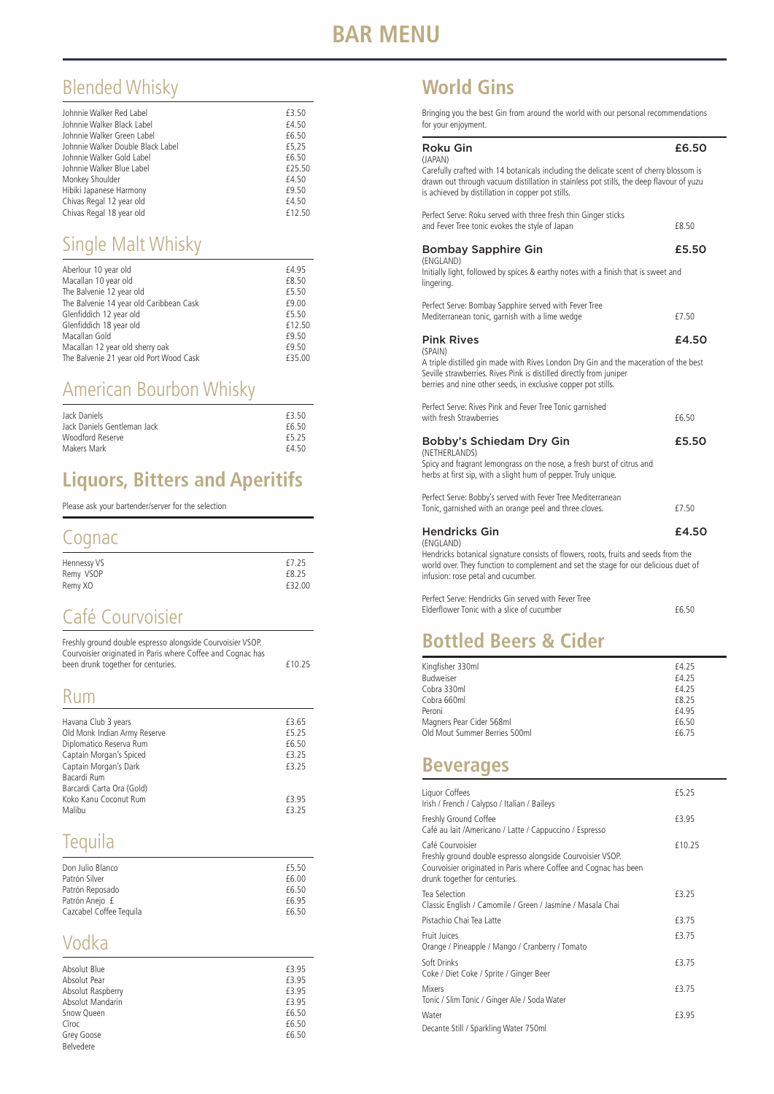## Blended Whisky

| Johnnie Walker Red Label          | £3.50  |
|-----------------------------------|--------|
|                                   |        |
| Johnnie Walker Black Label        | £4.50  |
| Johnnie Walker Green Label        | £6.50  |
| Johnnie Walker Double Black Label | £5,25  |
| Johnnie Walker Gold Label         | £6.50  |
| Johnnie Walker Blue Label         | £25.50 |
| Monkey Shoulder                   | £4.50  |
| Hibiki Japanese Harmony           | £9.50  |
| Chivas Regal 12 year old          | £4.50  |
| Chivas Regal 18 year old          | £12.50 |

## Single Malt Whisky

| Aberlour 10 year old                    | £4.95  |
|-----------------------------------------|--------|
| Macallan 10 year old                    | £8.50  |
| The Balvenie 12 year old                | £5.50  |
| The Balvenie 14 year old Caribbean Cask | £9.00  |
| Glenfiddich 12 year old                 | £5.50  |
| Glenfiddich 18 year old                 | £12.50 |
| Macallan Gold                           | £9.50  |
| Macallan 12 year old sherry oak         | £9.50  |
| The Balvenie 21 year old Port Wood Cask | £35.00 |

## American Bourbon Whisky

| Jack Daniels                | £3.50 |
|-----------------------------|-------|
| Jack Daniels Gentleman Jack | f6.50 |
| Woodford Reserve            | f5.25 |
| Makers Mark                 | £450  |

## **Liquors, Bitters and Aperitifs**

Please ask your bartender/server for the selection

## **Cognac**

| Hennessy VS | £7.25  |
|-------------|--------|
| Remy VSOP   | £8.25  |
| Remy XO     | £32.00 |

## Café Courvoisier

| Freshly ground double espresso alongside Courvoisier VSOP.  |        |
|-------------------------------------------------------------|--------|
| Courvoisier originated in Paris where Coffee and Cognac has |        |
| been drunk together for centuries.                          | £10.25 |

## Rum

| Havana Club 3 years          | £3.65 |
|------------------------------|-------|
| Old Monk Indian Army Reserve | £5.25 |
| Diplomatico Reserva Rum      | £6.50 |
| Captain Morgan's Spiced      | £3.25 |
| Captain Morgan's Dark        | £3.25 |
| Bacardi Rum                  |       |
| Barcardi Carta Ora (Gold)    |       |
| Koko Kanu Coconut Rum        | £3.95 |
| Malibu                       | f3 25 |

# Tequila

| Don Julio Blanco        | £5.50 |
|-------------------------|-------|
| Patrón Silver           | £6.00 |
| Patrón Reposado         | £6.50 |
| Patrón Anejo £          | f6.95 |
| Cazcabel Coffee Tequila | £6.50 |

## Vodka

| Absolut Blue      | £3.95 |
|-------------------|-------|
| Absolut Pear      | £3.95 |
| Absolut Raspberry | £3.95 |
| Absolut Mandarin  | £3.95 |
| Snow Queen        | £6.50 |
| Cîroc             | £6.50 |
| Grey Goose        | £6.50 |
| Belvedere         |       |

## **World Gins**

Bringing you the best Gin from around the world with our personal recommendations for your enjoyment.

| <b>Roku Gin</b><br>(JAPAN)                                                                                                                                                                                                              | £6.50 |
|-----------------------------------------------------------------------------------------------------------------------------------------------------------------------------------------------------------------------------------------|-------|
| Carefully crafted with 14 botanicals including the delicate scent of cherry blossom is<br>drawn out through vacuum distillation in stainless pot stills, the deep flavour of yuzu<br>is achieved by distillation in copper pot stills.  |       |
| Perfect Serve: Roku served with three fresh thin Ginger sticks<br>and Fever Tree tonic evokes the style of Japan                                                                                                                        | £8.50 |
| <b>Bombay Sapphire Gin</b><br>(ENGLAND)<br>Initially light, followed by spices & earthy notes with a finish that is sweet and<br>lingering.                                                                                             | £5.50 |
| Perfect Serve: Bombay Sapphire served with Fever Tree<br>Mediterranean tonic, garnish with a lime wedge                                                                                                                                 | £7.50 |
| <b>Pink Rives</b>                                                                                                                                                                                                                       | £4.50 |
| (SPAIN)<br>A triple distilled gin made with Rives London Dry Gin and the maceration of the best<br>Seville strawberries. Rives Pink is distilled directly from juniper<br>berries and nine other seeds, in exclusive copper pot stills. |       |
| Perfect Serve: Rives Pink and Fever Tree Tonic garnished<br>with fresh Strawberries                                                                                                                                                     | £6.50 |
| Bobby's Schiedam Dry Gin<br>(NETHERLANDS)                                                                                                                                                                                               | £5.50 |
| Spicy and fragrant lemongrass on the nose, a fresh burst of citrus and<br>herbs at first sip, with a slight hum of pepper. Truly unique.                                                                                                |       |
| Perfect Serve: Bobby's served with Fever Tree Mediterranean<br>Tonic, garnished with an orange peel and three cloves.                                                                                                                   | £7.50 |
| <b>Hendricks Gin</b>                                                                                                                                                                                                                    | £4.50 |
| (ENGLAND)<br>Hendricks botanical signature consists of flowers, roots, fruits and seeds from the<br>world over. They function to complement and set the stage for our delicious duet of<br>infusion: rose petal and cucumber.           |       |
| Perfect Serve: Hendricks Gin served with Fever Tree<br>Elderflower Tonic with a slice of cucumber                                                                                                                                       | £6.50 |

## **Bottled Beers & Cider**

| Kingfisher 330ml              | f4.25 |
|-------------------------------|-------|
| Budweiser                     | f4.25 |
| Cobra 330ml                   | f4.25 |
| Cobra 660ml                   | f8.25 |
| Peroni                        | £4.95 |
| Magners Pear Cider 568ml      | £6.50 |
| Old Mout Summer Berries 500ml | £6.75 |
|                               |       |

## **Beverages**

| Liquor Coffees<br>Irish / French / Calypso / Italian / Baileys                                                                                                                      | £5.25  |
|-------------------------------------------------------------------------------------------------------------------------------------------------------------------------------------|--------|
| Freshly Ground Coffee<br>Café au lait /Americano / Latte / Cappuccino / Espresso                                                                                                    | £3.95  |
| Café Courvoisier<br>Freshly ground double espresso alongside Courvoisier VSOP.<br>Courvoisier originated in Paris where Coffee and Cognac has been<br>drunk together for centuries. | £10.25 |
| Tea Selection<br>Classic English / Camomile / Green / Jasmine / Masala Chai                                                                                                         | £3.25  |
| Pistachio Chai Tea Latte                                                                                                                                                            | £3.75  |
| Fruit Juices<br>Orange / Pineapple / Mango / Cranberry / Tomato                                                                                                                     | £3.75  |
| Soft Drinks<br>Coke / Diet Coke / Sprite / Ginger Beer                                                                                                                              | £3.75  |
| Mixers<br>Tonic / Slim Tonic / Ginger Ale / Soda Water                                                                                                                              | £3.75  |
| Water                                                                                                                                                                               | £3.95  |
| Decante Still / Sparkling Water 750ml                                                                                                                                               |        |

# **BAR MENU**